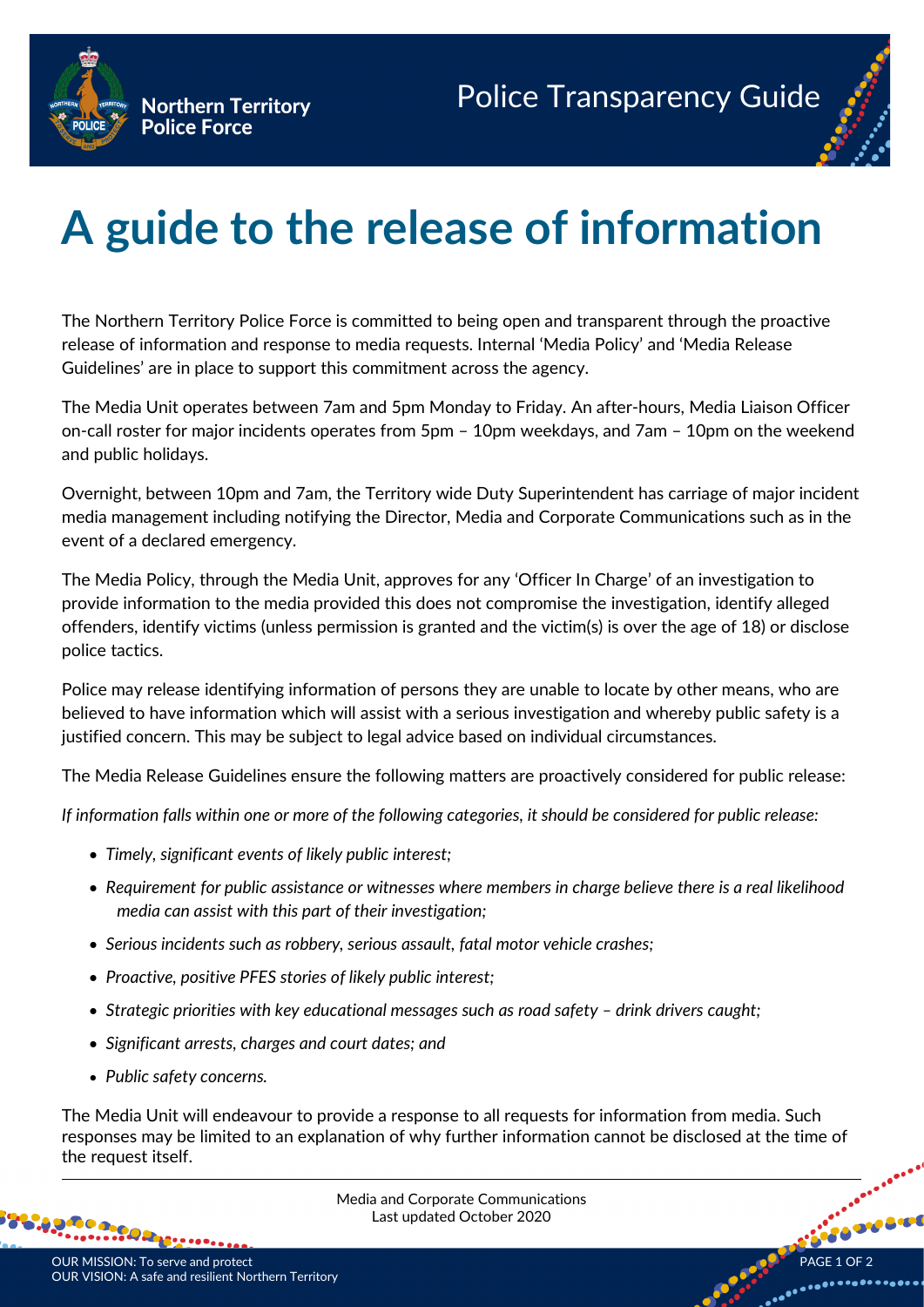

## **A guide to the release of information**

The Northern Territory Police Force is committed to being open and transparent through the proactive release of information and response to media requests. Internal 'Media Policy' and 'Media Release Guidelines' are in place to support this commitment across the agency.

The Media Unit operates between 7am and 5pm Monday to Friday. An after-hours, Media Liaison Officer on-call roster for major incidents operates from 5pm – 10pm weekdays, and 7am – 10pm on the weekend and public holidays.

Overnight, between 10pm and 7am, the Territory wide Duty Superintendent has carriage of major incident media management including notifying the Director, Media and Corporate Communications such as in the event of a declared emergency.

The Media Policy, through the Media Unit, approves for any 'Officer In Charge' of an investigation to provide information to the media provided this does not compromise the investigation, identify alleged offenders, identify victims (unless permission is granted and the victim(s) is over the age of 18) or disclose police tactics.

Police may release identifying information of persons they are unable to locate by other means, who are believed to have information which will assist with a serious investigation and whereby public safety is a justified concern. This may be subject to legal advice based on individual circumstances.

The Media Release Guidelines ensure the following matters are proactively considered for public release:

*If information falls within one or more of the following categories, it should be considered for public release:*

- *Timely, significant events of likely public interest;*
- *Requirement for public assistance or witnesses where members in charge believe there is a real likelihood media can assist with this part of their investigation;*
- *Serious incidents such as robbery, serious assault, fatal motor vehicle crashes;*
- *Proactive, positive PFES stories of likely public interest;*
- *Strategic priorities with key educational messages such as road safety – drink drivers caught;*
- *Significant arrests, charges and court dates; and*
- *Public safety concerns.*

The Media Unit will endeavour to provide a response to all requests for information from media. Such responses may be limited to an explanation of why further information cannot be disclosed at the time of the request itself.



HO.



- 00